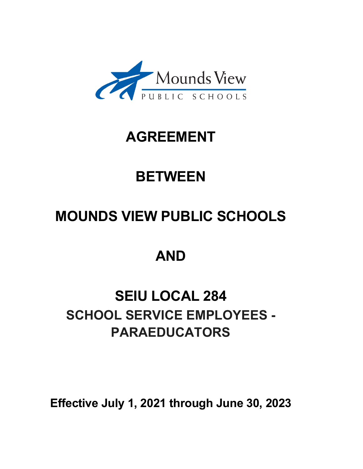

# **AGREEMENT**

# **BETWEEN**

# **MOUNDS VIEW PUBLIC SCHOOLS**

# **AND**

# **SEIU LOCAL 284 SCHOOL SERVICE EMPLOYEES - PARAEDUCATORS**

**Effective July 1, 2021 through June 30, 2023**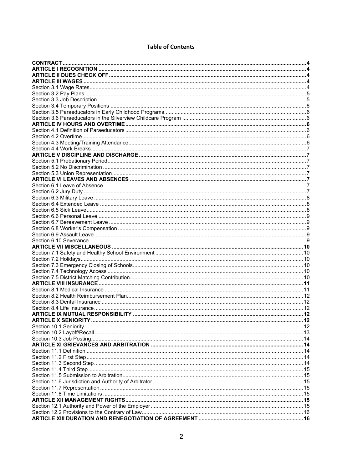# **Table of Contents**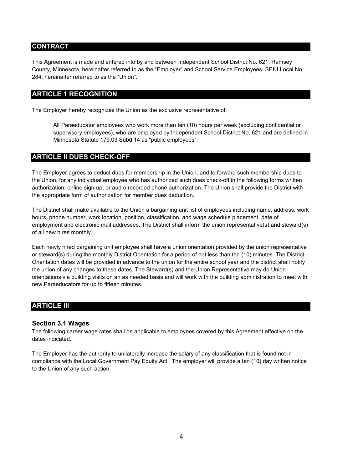# <span id="page-3-0"></span>**CONTRACT**

This Agreement is made and entered into by and between Independent School District No. 621, Ramsey County, Minnesota, hereinafter referred to as the "Employer" and School Service Employees, SEIU Local No. 284, hereinafter referred to as the "Union".

# **ARTICLE 1 RECOGNITION**

The Employer hereby recognizes the Union as the exclusive representative of:

All Paraeducator employees who work more than ten (10) hours per week (excluding confidential or supervisory employees), who are employed by Independent School District No. 621 and are defined in Minnesota Statute 179.03 Subd.14 as "public employees".

# **ARTICLE II DUES CHECK-OFF**

The Employer agrees to deduct dues for membership in the Union, and to forward such membership dues to the Union, for any individual employee who has authorized such dues check-off in the following forms written authorization, online sign-up, or audio-recorded phone authorization. The Union shall provide the District with the appropriate form of authorization for member dues deduction.

The District shall make available to the Union a bargaining unit list of employees including name, address, work hours, phone number, work location, position, classification, and wage schedule placement, date of employment and electronic mail addresses. The District shall inform the union representative(s) and steward(s) of all new hires monthly.

Each newly hired bargaining unit employee shall have a union orientation provided by the union representative or steward(s) during the monthly District Orientation for a period of not less than ten (10) minutes. The District Orientation dates will be provided in advance to the union for the entire school year and the district shall notify the union of any changes to these dates. The Steward(s) and the Union Representative may do Union orientations via building visits on an as needed basis and will work with the building administration to meet with new Paraeducators for up to fifteen minutes.

# **ARTICLE III**

#### **Section 3.1 Wages**

The following career wage rates shall be applicable to employees covered by this Agreement effective on the dates indicated.

The Employer has the authority to unilaterally increase the salary of any classification that is found not in compliance with the Local Government Pay Equity Act. The employer will provide a ten (10) day written notice to the Union of any such action.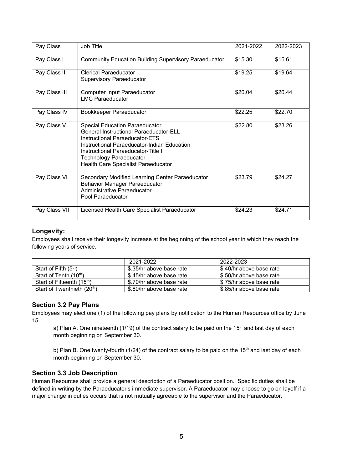| Pay Class     | Job Title                                                                                                                                                                                                                                                                              | 2021-2022 | 2022-2023 |
|---------------|----------------------------------------------------------------------------------------------------------------------------------------------------------------------------------------------------------------------------------------------------------------------------------------|-----------|-----------|
| Pay Class I   | <b>Community Education Building Supervisory Paraeducator</b>                                                                                                                                                                                                                           | \$15.30   | \$15.61   |
| Pay Class II  | Clerical Paraeducator<br><b>Supervisory Paraeducator</b>                                                                                                                                                                                                                               | \$19.25   | \$19.64   |
| Pay Class III | <b>Computer Input Paraeducator</b><br><b>LMC Paraeducator</b>                                                                                                                                                                                                                          | \$20.04   | \$20.44   |
| Pay Class IV  | Bookkeeper Paraeducator                                                                                                                                                                                                                                                                | \$22.25   | \$22.70   |
| Pay Class V   | <b>Special Education Paraeducator</b><br><b>General Instructional Paraeducator-ELL</b><br>Instructional Paraeducator-ETS<br>Instructional Paraeducator-Indian Education<br>Instructional Paraeducator-Title I<br><b>Technology Paraeducator</b><br>Health Care Specialist Paraeducator | \$22.80   | \$23.26   |
| Pay Class VI  | Secondary Modified Learning Center Paraeducator<br><b>Behavior Manager Paraeducator</b><br>Administrative Paraeducator<br>Pool Paraeducator                                                                                                                                            | \$23.79   | \$24.27   |
| Pay Class VII | Licensed Health Care Specialist Paraeducator                                                                                                                                                                                                                                           | \$24.23   | \$24.71   |

# **Longevity:**

Employees shall receive their longevity increase at the beginning of the school year in which they reach the following years of service.

|                                         | 2021-2022                | 2022-2023                |
|-----------------------------------------|--------------------------|--------------------------|
| Start of Fifth $(5th)$                  | \$.35/hr above base rate | \$.40/hr above base rate |
| Start of Tenth (10 <sup>th</sup> )      | \$.45/hr above base rate | \$.50/hr above base rate |
| Start of Fifteenth (15 <sup>th</sup> )  | \$.70/hr above base rate | \$.75/hr above base rate |
| Start of Twenthieth (20 <sup>th</sup> ) | \$.80/hr above base rate | \$.85/hr above base rate |

# **Section 3.2 Pay Plans**

Employees may elect one (1) of the following pay plans by notification to the Human Resources office by June 15.

a) Plan A. One nineteenth (1/19) of the contract salary to be paid on the 15<sup>th</sup> and last day of each month beginning on September 30.

b) Plan B. One twenty-fourth (1/24) of the contract salary to be paid on the 15<sup>th</sup> and last day of each month beginning on September 30.

# **Section 3.3 Job Description**

Human Resources shall provide a general description of a Paraeducator position. Specific duties shall be defined in writing by the Paraeducator's immediate supervisor. A Paraeducator may choose to go on layoff if a major change in duties occurs that is not mutually agreeable to the supervisor and the Paraeducator.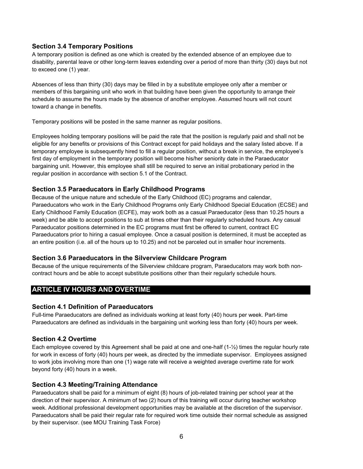# <span id="page-5-0"></span>**Section 3.4 Temporary Positions**

A temporary position is defined as one which is created by the extended absence of an employee due to disability, parental leave or other long-term leaves extending over a period of more than thirty (30) days but not to exceed one (1) year.

Absences of less than thirty (30) days may be filled in by a substitute employee only after a member or members of this bargaining unit who work in that building have been given the opportunity to arrange their schedule to assume the hours made by the absence of another employee. Assumed hours will not count toward a change in benefits.

Temporary positions will be posted in the same manner as regular positions.

Employees holding temporary positions will be paid the rate that the position is regularly paid and shall not be eligible for any benefits or provisions of this Contract except for paid holidays and the salary listed above. If a temporary employee is subsequently hired to fill a regular position, without a break in service, the employee's first day of employment in the temporary position will become his/her seniority date in the Paraeducator bargaining unit. However, this employee shall still be required to serve an initial probationary period in the regular position in accordance with section 5.1 of the Contract.

# **Section 3.5 Paraeducators in Early Childhood Programs**

Because of the unique nature and schedule of the Early Childhood (EC) programs and calendar, Paraeducators who work in the Early Childhood Programs only Early Childhood Special Education (ECSE) and Early Childhood Family Education (ECFE), may work both as a casual Paraeducator (less than 10.25 hours a week) and be able to accept positions to sub at times other than their regularly scheduled hours. Any casual Paraeducator positions determined in the EC programs must first be offered to current, contract EC Paraeducators prior to hiring a casual employee. Once a casual position is determined, it must be accepted as an entire position (i.e. all of the hours up to 10.25) and not be parceled out in smaller hour increments.

# **Section 3.6 Paraeducators in the Silverview Childcare Program**

Because of the unique requirements of the Silverview childcare program, Paraeducators may work both noncontract hours and be able to accept substitute positions other than their regularly schedule hours.

# **ARTICLE IV HOURS AND OVERTIME**

# **Section 4.1 Definition of Paraeducators**

Full-time Paraeducators are defined as individuals working at least forty (40) hours per week. Part-time Paraeducators are defined as individuals in the bargaining unit working less than forty (40) hours per week.

# **Section 4.2 Overtime**

Each employee covered by this Agreement shall be paid at one and one-half (1-½) times the regular hourly rate for work in excess of forty (40) hours per week, as directed by the immediate supervisor. Employees assigned to work jobs involving more than one (1) wage rate will receive a weighted average overtime rate for work beyond forty (40) hours in a week.

# **Section 4.3 Meeting/Training Attendance**

Paraeducators shall be paid for a minimum of eight (8) hours of job-related training per school year at the direction of their supervisor. A minimum of two (2) hours of this training will occur during teacher workshop week. Additional professional development opportunities may be available at the discretion of the supervisor. Paraeducators shall be paid their regular rate for required work time outside their normal schedule as assigned by their supervisor. (see MOU Training Task Force)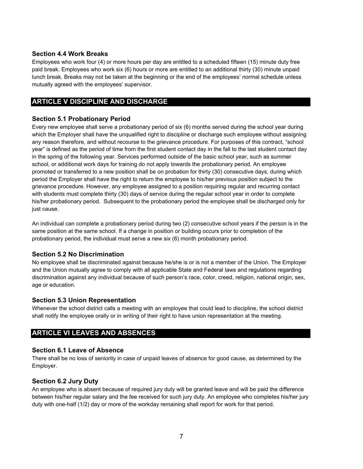# <span id="page-6-0"></span>**Section 4.4 Work Breaks**

Employees who work four (4) or more hours per day are entitled to a scheduled fifteen (15) minute duty free paid break. Employees who work six (6) hours or more are entitled to an additional thirty (30) minute unpaid lunch break. Breaks may not be taken at the beginning or the end of the employees' normal schedule unless mutually agreed with the employees' supervisor.

# **ARTICLE V DISCIPLINE AND DISCHARGE**

# **Section 5.1 Probationary Period**

Every new employee shall serve a probationary period of six (6) months served during the school year during which the Employer shall have the unqualified right to discipline or discharge such employee without assigning any reason therefore, and without recourse to the grievance procedure. For purposes of this contract, "school year" is defined as the period of time from the first student contact day in the fall to the last student contact day in the spring of the following year. Services performed outside of the basic school year, such as summer school, or additional work days for training do not apply towards the probationary period. An employee promoted or transferred to a new position shall be on probation for thirty (30) consecutive days, during which period the Employer shall have the right to return the employee to his/her previous position subject to the grievance procedure. However, any employee assigned to a position requiring regular and recurring contact with students must complete thirty (30) days of service during the regular school year in order to complete his/her probationary period. Subsequent to the probationary period the employee shall be discharged only for just cause.

An individual can complete a probationary period during two (2) consecutive school years if the person is in the same position at the same school. If a change in position or building occurs prior to completion of the probationary period, the individual must serve a new six (6) month probationary period.

# **Section 5.2 No Discrimination**

No employee shall be discriminated against because he/she is or is not a member of the Union. The Employer and the Union mutually agree to comply with all applicable State and Federal laws and regulations regarding discrimination against any individual because of such person's race, color, creed, religion, national origin, sex, age or education.

# **Section 5.3 Union Representation**

Whenever the school district calls a meeting with an employee that could lead to discipline, the school district shall notify the employee orally or in writing of their right to have union representation at the meeting.

# **ARTICLE VI LEAVES AND ABSENCES**

# **Section 6.1 Leave of Absence**

There shall be no loss of seniority in case of unpaid leaves of absence for good cause, as determined by the Employer.

# **Section 6.2 Jury Duty**

An employee who is absent because of required jury duty will be granted leave and will be paid the difference between his/her regular salary and the fee received for such jury duty. An employee who completes his/her jury duty with one-half (1/2) day or more of the workday remaining shall report for work for that period.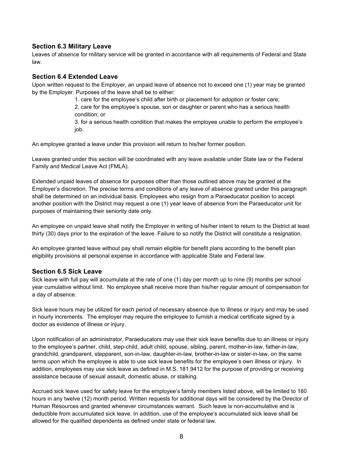### <span id="page-7-0"></span>**Section 6.3 Military Leave**

 law. Leaves of absence for military service will be granted in accordance with all requirements of Federal and State

#### **Section 6.4 Extended Leave**

Upon written request to the Employer, an unpaid leave of absence not to exceed one (1) year may be granted by the Employer. Purposes of the leave shall be to either:

> 1. care for the employee's child after birth or placement for adoption or foster care; 2. care for the employee's spouse, son or daughter or parent who has a serious health condition; or 3. for a serious health condition that makes the employee unable to perform the employee's

> job.

An employee granted a leave under this provision will return to his/her former position.

Leaves granted under this section will be coordinated with any leave available under State law or the Federal Family and Medical Leave Act (FMLA).

Extended unpaid leaves of absence for purposes other than those outlined above may be granted at the Employer's discretion. The precise terms and conditions of any leave of absence granted under this paragraph shall be determined on an individual basis. Employees who resign from a Paraeducator position to accept another position with the District may request a one (1) year leave of absence from the Paraeducator unit for purposes of maintaining their seniority date only.

An employee on unpaid leave shall notify the Employer in writing of his/her intent to return to the District at least thirty (30) days prior to the expiration of the leave. Failure to so notify the District will constitute a resignation.

 eligibility provisions at personal expense in accordance with applicable State and Federal law. An employee granted leave without pay shall remain eligible for benefit plans according to the benefit plan

#### **Section 6.5 Sick Leave**

Sick leave with full pay will accumulate at the rate of one (1) day per month up to nine (9) months per school year cumulative without limit. No employee shall receive more than his/her regular amount of compensation for a day of absence.

Sick leave hours may be utilized for each period of necessary absence due to illness or injury and may be used in hourly increments. The employer may require the employee to furnish a medical certificate signed by a doctor as evidence of illness or injury.

Upon notification of an administrator, Paraeducators may use their sick leave benefits due to an illness or injury to the employee's partner, child, step-child, adult child, spouse, sibling, parent, mother-in-law, father-in-law, grandchild, grandparent, stepparent, son-in-law, daughter-in-law, brother-in-law or sister-in-law, on the same terms upon which the employee is able to use sick leave benefits for the employee's own illness or injury. In addition, employees may use sick leave as defined in M.S. 181.9412 for the purpose of providing or receiving assistance because of sexual assault, domestic abuse, or stalking.

Accrued sick leave used for safety leave for the employee's family members listed above, will be limited to 160 hours in any twelve (12) month period. Written requests for additional days will be considered by the Director of Human Resources and granted whenever circumstances warrant. Such leave is non-accumulative and is deductible from accumulated sick leave. In addition, use of the employee's accumulated sick leave shall be allowed for the qualified dependents as defined under state or federal law.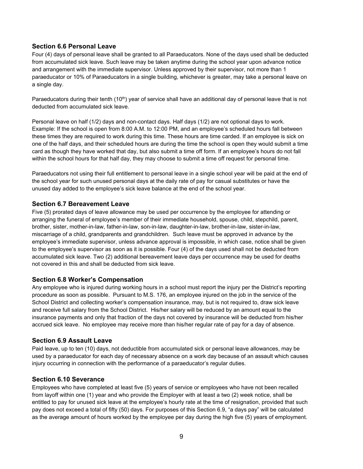# <span id="page-8-0"></span>**Section 6.6 Personal Leave**

Four (4) days of personal leave shall be granted to all Paraeducators. None of the days used shall be deducted from accumulated sick leave. Such leave may be taken anytime during the school year upon advance notice and arrangement with the immediate supervisor. Unless approved by their supervisor, not more than 1 paraeducator or 10% of Paraeducators in a single building, whichever is greater, may take a personal leave on a single day.

Paraeducators during their tenth  $(10<sup>th</sup>)$  year of service shall have an additional day of personal leave that is not deducted from accumulated sick leave.

Personal leave on half (1/2) days and non-contact days. Half days (1/2) are not optional days to work. Example: If the school is open from 8:00 A.M. to 12:00 PM, and an employee's scheduled hours fall between these times they are required to work during this time. These hours are time carded. If an employee is sick on one of the half days, and their scheduled hours are during the time the school is open they would submit a time card as though they have worked that day, but also submit a time off form. If an employee's hours do not fall within the school hours for that half day, they may choose to submit a time off request for personal time.

 unused day added to the employee's sick leave balance at the end of the school year. Paraeducators not using their full entitlement to personal leave in a single school year will be paid at the end of the school year for such unused personal days at the daily rate of pay for casual substitutes or have the

# **Section 6.7 Bereavement Leave**

 not covered in this and shall be deducted from sick leave. Five (5) prorated days of leave allowance may be used per occurrence by the employee for attending or arranging the funeral of employee's member of their immediate household, spouse, child, stepchild, parent, brother, sister, mother-in-law, father-in-law, son-in-law, daughter-in-law, brother-in-law, sister-in-law, miscarriage of a child, grandparents and grandchildren. Such leave must be approved in advance by the employee's immediate supervisor, unless advance approval is impossible, in which case, notice shall be given to the employee's supervisor as soon as it is possible. Four (4) of the days used shall not be deducted from accumulated sick leave. Two (2) additional bereavement leave days per occurrence may be used for deaths

#### **Section 6.8 Worker's Compensation**

Any employee who is injured during working hours in a school must report the injury per the District's reporting procedure as soon as possible. Pursuant to M.S. 176, an employee injured on the job in the service of the School District and collecting worker's compensation insurance, may, but is not required to, draw sick leave and receive full salary from the School District. His/her salary will be reduced by an amount equal to the insurance payments and only that fraction of the days not covered by insurance will be deducted from his/her accrued sick leave. No employee may receive more than his/her regular rate of pay for a day of absence.

#### **Section 6.9 Assault Leave**

Paid leave, up to ten (10) days, not deductible from accumulated sick or personal leave allowances, may be used by a paraeducator for each day of necessary absence on a work day because of an assault which causes injury occurring in connection with the performance of a paraeducator's regular duties.

#### **Section 6.10 Severance**

Employees who have completed at least five (5) years of service or employees who have not been recalled from layoff within one (1) year and who provide the Employer with at least a two (2) week notice, shall be entitled to pay for unused sick leave at the employee's hourly rate at the time of resignation, provided that such pay does not exceed a total of fifty (50) days. For purposes of this Section 6.9, "a days pay" will be calculated as the average amount of hours worked by the employee per day during the high five (5) years of employment.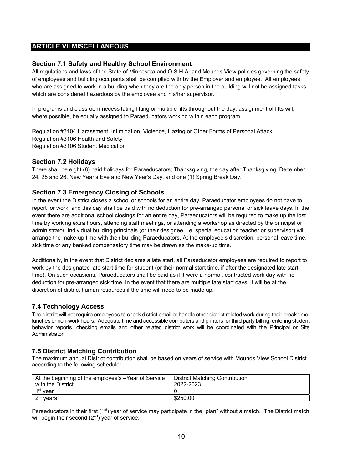# **ARTICLE VII MISCELLANEOUS**

# **Section 7.1 Safety and Healthy School Environment**

All regulations and laws of the State of Minnesota and O.S.H.A. and Mounds View policies governing the safety of employees and building occupants shall be complied with by the Employer and employee. All employees who are assigned to work in a building when they are the only person in the building will not be assigned tasks which are considered hazardous by the employee and his/her supervisor.

In programs and classroom necessitating lifting or multiple lifts throughout the day, assignment of lifts will, where possible, be equally assigned to Paraeducators working within each program.

Regulation #3104 Harassment, Intimidation, Violence, Hazing or Other Forms of Personal Attack<br>Regulation #3106 Health and Safety Regulation #3106 Student Medication

# **Section 7.2 Holidays**

There shall be eight (8) paid holidays for Paraeducators; Thanksgiving, the day after Thanksgiving, December 24, 25 and 26, New Year's Eve and New Year's Day, and one (1) Spring Break Day.

# **Section 7.3 Emergency Closing of Schools**

In the event the District closes a school or schools for an entire day, Paraeducator employees do not have to report for work, and this day shall be paid with no deduction for pre-arranged personal or sick leave days. In the event there are additional school closings for an entire day, Paraeducators will be required to make up the lost time by working extra hours, attending staff meetings, or attending a workshop as directed by the principal or administrator. Individual building principals (or their designee, i.e. special education teacher or supervisor) will arrange the make-up time with their building Paraeducators. At the employee's discretion, personal leave time, sick time or any banked compensatory time may be drawn as the make-up time.

Additionally, in the event that District declares a late start, all Paraeducator employees are required to report to work by the designated late start time for student (or their normal start time, if after the designated late start time). On such occasions, Paraeducators shall be paid as if it were a normal, contracted work day with no deduction for pre-arranged sick time. In the event that there are multiple late start days, it will be at the discretion of district human resources if the time will need to be made up.

# **7.4 Technology Access**

The district will not require employees to check district email or handle other district related work during their break time, lunches or non-work hours. Adequate time and accessible computers and printers for third party billing, entering student behavior reports, checking emails and other related district work will be coordinated with the Principal or Site **Administrator** 

#### **7.5 District Matching Contribution**

The maximum annual District contribution shall be based on years of service with Mounds View School District according to the following schedule:

| At the beginning of the employee's -Year of Service<br>with the District | <b>District Matching Contribution</b><br>2022-2023 |
|--------------------------------------------------------------------------|----------------------------------------------------|
| 1 <sup>st</sup> year                                                     |                                                    |
| 2+ vears                                                                 | \$250.00                                           |

Paraeducators in their first ( $1<sup>st</sup>$ ) year of service may participate in the "plan" without a match. The District match will begin their second  $(2^{nd})$  year of service.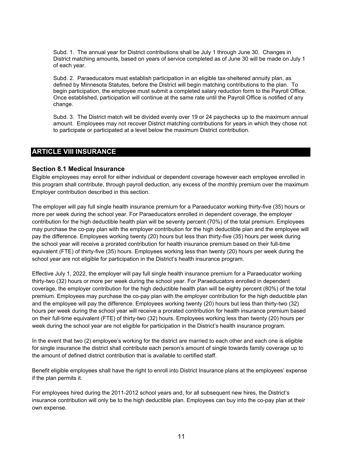<span id="page-10-0"></span>Subd. 1. The annual year for District contributions shall be July 1 through June 30. Changes in District matching amounts, based on years of service completed as of June 30 will be made on July 1 of each year.

Subd. 2. Paraeducators must establish participation in an eligible tax-sheltered annuity plan, as defined by Minnesota Statutes, before the District will begin matching contributions to the plan. To begin participation, the employee must submit a completed salary reduction form to the Payroll Office. Once established, participation will continue at the same rate until the Payroll Office is notified of any change.

Subd. 3. The District match will be divided evenly over 19 or 24 paychecks up to the maximum annual amount. Employees may not recover District matching contributions for years in which they chose not to participate or participated at a level below the maximum District contribution.

# **ARTICLE VIII INSURANCE**

#### **Section 8.1 Medical Insurance**

Eligible employees may enroll for either individual or dependent coverage however each employee enrolled in this program shall contribute, through payroll deduction, any excess of the monthly premium over the maximum Employer contribution described in this section.

The employer will pay full single health insurance premium for a Paraeducator working thirty-five (35) hours or more per week during the school year. For Paraeducators enrolled in dependent coverage, the employer contribution for the high deductible health plan will be seventy percent (70%) of the total premium. Employees may purchase the co-pay plan with the employer contribution for the high deductible plan and the employee will pay the difference. Employees working twenty (20) hours but less than thirty-five (35) hours per week during the school year will receive a prorated contribution for health insurance premium based on their full-time equivalent (FTE) of thirty-five (35) hours. Employees working less than twenty (20) hours per week during the school year are not eligible for participation in the District's health insurance program.

Effective July 1, 2022, the employer will pay full single health insurance premium for a Paraeducator working thirty-two (32) hours or more per week during the school year. For Paraeducators enrolled in dependent coverage, the employer contribution for the high deductible health plan will be eighty percent (80%) of the total premium. Employees may purchase the co-pay plan with the employer contribution for the high deductible plan and the employee will pay the difference. Employees working twenty (20) hours but less than thirty-two (32) hours per week during the school year will receive a prorated contribution for health insurance premium based on their full-time equivalent (FTE) of thirty-two (32) hours. Employees working less than twenty (20) hours per week during the school year are not eligible for participation in the District's health insurance program.

In the event that two (2) employee's working for the district are married to each other and each one is eligible for single insurance the district shall contribute each person's amount of single towards family coverage up to the amount of defined district contribution that is available to certified staff.

Benefit eligible employees shall have the right to enroll into District Insurance plans at the employees' expense if the plan permits it.

For employees hired during the 2011-2012 school years and, for all subsequent new hires, the District's insurance contribution will only be to the high deductible plan. Employees can buy into the co-pay plan at their own expense.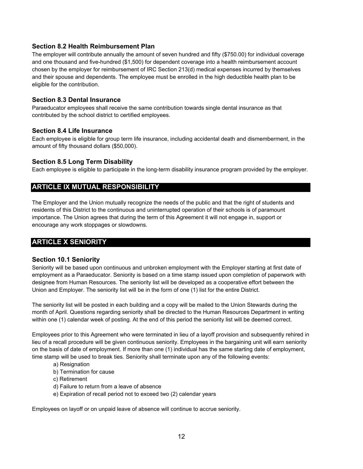# <span id="page-11-0"></span>**Section 8.2 Health Reimbursement Plan**

The employer will contribute annually the amount of seven hundred and fifty (\$750.00) for individual coverage and one thousand and five-hundred (\$1,500) for dependent coverage into a health reimbursement account chosen by the employer for reimbursement of IRC Section 213(d) medical expenses incurred by themselves and their spouse and dependents. The employee must be enrolled in the high deductible health plan to be eligible for the contribution.

# **Section 8.3 Dental Insurance**

Paraeducator employees shall receive the same contribution towards single dental insurance as that contributed by the school district to certified employees.

# **Section 8.4 Life Insurance**

Each employee is eligible for group term life insurance, including accidental death and dismemberment, in the amount of fifty thousand dollars (\$50,000).

# **Section 8.5 Long Term Disability**

Each employee is eligible to participate in the long-term disability insurance program provided by the employer.

# **ARTICLE IX MUTUAL RESPONSIBILITY**

The Employer and the Union mutually recognize the needs of the public and that the right of students and residents of this District to the continuous and uninterrupted operation of their schools is of paramount importance. The Union agrees that during the term of this Agreement it will not engage in, support or encourage any work stoppages or slowdowns.

# **ARTICLE X SENIORITY**

### **Section 10.1 Seniority**

Seniority will be based upon continuous and unbroken employment with the Employer starting at first date of employment as a Paraeducator. Seniority is based on a time stamp issued upon completion of paperwork with designee from Human Resources. The seniority list will be developed as a cooperative effort between the Union and Employer. The seniority list will be in the form of one (1) list for the entire District.

The seniority list will be posted in each building and a copy will be mailed to the Union Stewards during the month of April. Questions regarding seniority shall be directed to the Human Resources Department in writing within one (1) calendar week of posting. At the end of this period the seniority list will be deemed correct.

Employees prior to this Agreement who were terminated in lieu of a layoff provision and subsequently rehired in lieu of a recall procedure will be given continuous seniority. Employees in the bargaining unit will earn seniority on the basis of date of employment. If more than one (1) individual has the same starting date of employment, time stamp will be used to break ties. Seniority shall terminate upon any of the following events:

- a) Resignation
- b) Termination for cause
- c) Retirement
- d) Failure to return from a leave of absence
- e) Expiration of recall period not to exceed two (2) calendar years

Employees on layoff or on unpaid leave of absence will continue to accrue seniority.<br>12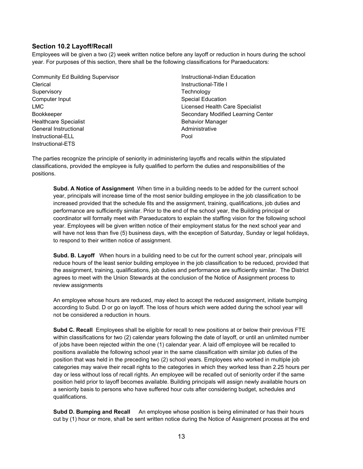# <span id="page-12-0"></span>**Section 10.2 Layoff/Recall**

Employees will be given a two (2) week written notice before any layoff or reduction in hours during the school year. For purposes of this section, there shall be the following classifications for Paraeducators:

Community Ed Building Supervisor **Instructional-Indian Education Clerical Instructional-Title I** Supervisory **Supervisory Technology** Computer Input Computer Input Special Education LMC Licensed Health Care Specialist Healthcare Specialist **Behavior Manager** Behavior Manager General Instructional Administrative Instructional Administrative Instructional Administrative Instructional-<br>Instructional-ELL Pool Instructional-ETS

Bookkeeper Secondary Modified Learning Center Administrative

The parties recognize the principle of seniority in administering layoffs and recalls within the stipulated classifications, provided the employee is fully qualified to perform the duties and responsibilities of the positions.

**Subd. A Notice of Assignment** When time in a building needs to be added for the current school year, principals will increase time of the most senior building employee in the job classification to be increased provided that the schedule fits and the assignment, training, qualifications, job duties and performance are sufficiently similar. Prior to the end of the school year, the Building principal or coordinator will formally meet with Paraeducators to explain the staffing vision for the following school year. Employees will be given written notice of their employment status for the next school year and will have not less than five (5) business days, with the exception of Saturday, Sunday or legal holidays, to respond to their written notice of assignment.

**Subd. B. Layoff** When hours in a building need to be cut for the current school year, principals will reduce hours of the least senior building employee in the job classification to be reduced, provided that the assignment, training, qualifications, job duties and performance are sufficiently similar. The District agrees to meet with the Union Stewards at the conclusion of the Notice of Assignment process to review assignments

An employee whose hours are reduced, may elect to accept the reduced assignment, initiate bumping according to Subd. D or go on layoff. The loss of hours which were added during the school year will not be considered a reduction in hours.

**Subd C. Recall** Employees shall be eligible for recall to new positions at or below their previous FTE within classifications for two (2) calendar years following the date of layoff, or until an unlimited number of jobs have been rejected within the one (1) calendar year. A laid off employee will be recalled to positions available the following school year in the same classification with similar job duties of the position that was held in the preceding two (2) school years. Employees who worked in multiple job categories may waive their recall rights to the categories in which they worked less than 2.25 hours per day or less without loss of recall rights. An employee will be recalled out of seniority order if the same position held prior to layoff becomes available. Building principals will assign newly available hours on a seniority basis to persons who have suffered hour cuts after considering budget, schedules and qualifications.

Subd D. Bumping and Recall An employee whose position is being eliminated or has their hours cut by (1) hour or more, shall be sent written notice during the Notice of Assignment process at the end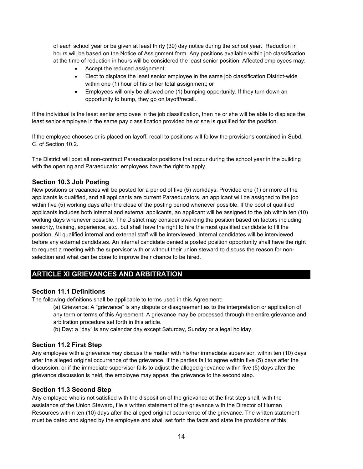<span id="page-13-0"></span>of each school year or be given at least thirty (30) day notice during the school year. Reduction in hours will be based on the Notice of Assignment form. Any positions available within job classification at the time of reduction in hours will be considered the least senior position. Affected employees may:

- Accept the reduced assignment;
- Elect to displace the least senior employee in the same job classification District-wide within one (1) hour of his or her total assignment; or
- Employees will only be allowed one (1) bumping opportunity. If they turn down an opportunity to bump, they go on layoff/recall.

If the individual is the least senior employee in the job classification, then he or she will be able to displace the least senior employee in the same pay classification provided he or she is qualified for the position.

If the employee chooses or is placed on layoff, recall to positions will follow the provisions contained in Subd. C. of Section 10.2.

The District will post all non-contract Paraeducator positions that occur during the school year in the building with the opening and Paraeducator employees have the right to apply.

# **Section 10.3 Job Posting**

New positions or vacancies will be posted for a period of five (5) workdays. Provided one (1) or more of the applicants is qualified, and all applicants are current Paraeducators, an applicant will be assigned to the job within five (5) working days after the close of the posting period whenever possible. If the pool of qualified applicants includes both internal and external applicants, an applicant will be assigned to the job within ten (10) working days whenever possible. The District may consider awarding the position based on factors including seniority, training, experience, etc., but shall have the right to hire the most qualified candidate to fill the position. All qualified internal and external staff will be interviewed. Internal candidates will be interviewed before any external candidates. An internal candidate denied a posted position opportunity shall have the right to request a meeting with the supervisor with or without their union steward to discuss the reason for nonselection and what can be done to improve their chance to be hired.

# **ARTICLE XI GRIEVANCES AND ARBITRATION**

# **Section 11.1 Definitions**

The following definitions shall be applicable to terms used in this Agreement:

arbitration procedure set forth in this article. (a) Grievance: A "grievance" is any dispute or disagreement as to the interpretation or application of any term or terms of this Agreement. A grievance may be processed through the entire grievance and

(b) Day: a "day" is any calendar day except Saturday, Sunday or a legal holiday.

# **Section 11.2 First Step**

Any employee with a grievance may discuss the matter with his/her immediate supervisor, within ten (10) days after the alleged original occurrence of the grievance. If the parties fail to agree within five (5) days after the discussion, or if the immediate supervisor fails to adjust the alleged grievance within five (5) days after the grievance discussion is held, the employee may appeal the grievance to the second step.

# **Section 11.3 Second Step**

Any employee who is not satisfied with the disposition of the grievance at the first step shall, with the assistance of the Union Steward, file a written statement of the grievance with the Director of Human Resources within ten (10) days after the alleged original occurrence of the grievance. The written statement must be dated and signed by the employee and shall set forth the facts and state the provisions of this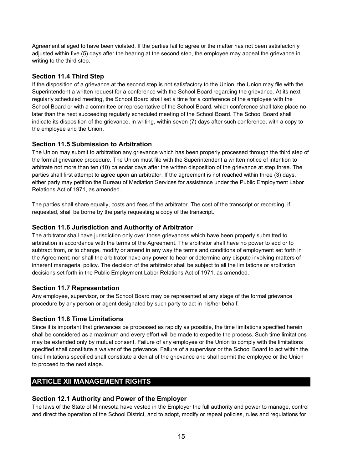<span id="page-14-0"></span>Agreement alleged to have been violated. If the parties fail to agree or the matter has not been satisfactorily adjusted within five (5) days after the hearing at the second step, the employee may appeal the grievance in writing to the third step.

# **Section 11.4 Third Step**

 the employee and the Union. If the disposition of a grievance at the second step is not satisfactory to the Union, the Union may file with the Superintendent a written request for a conference with the School Board regarding the grievance. At its next regularly scheduled meeting, the School Board shall set a time for a conference of the employee with the School Board or with a committee or representative of the School Board, which conference shall take place no later than the next succeeding regularly scheduled meeting of the School Board. The School Board shall indicate its disposition of the grievance, in writing, within seven (7) days after such conference, with a copy to

# **Section 11.5 Submission to Arbitration**

The Union may submit to arbitration any grievance which has been properly processed through the third step of the formal grievance procedure. The Union must file with the Superintendent a written notice of intention to arbitrate not more than ten (10) calendar days after the written disposition of the grievance at step three. The parties shall first attempt to agree upon an arbitrator. If the agreement is not reached within three (3) days, either party may petition the Bureau of Mediation Services for assistance under the Public Employment Labor Relations Act of 1971, as amended.

The parties shall share equally, costs and fees of the arbitrator. The cost of the transcript or recording, if requested, shall be borne by the party requesting a copy of the transcript.

# **Section 11.6 Jurisdiction and Authority of Arbitrator**

The arbitrator shall have jurisdiction only over those grievances which have been properly submitted to arbitration in accordance with the terms of the Agreement. The arbitrator shall have no power to add or to subtract from, or to change, modify or amend in any way the terms and conditions of employment set forth in the Agreement; nor shall the arbitrator have any power to hear or determine any dispute involving matters of inherent managerial policy. The decision of the arbitrator shall be subject to all the limitations or arbitration decisions set forth in the Public Employment Labor Relations Act of 1971, as amended.

# **Section 11.7 Representation**

Any employee, supervisor, or the School Board may be represented at any stage of the formal grievance procedure by any person or agent designated by such party to act in his/her behalf.

# **Section 11.8 Time Limitations**

 to proceed to the next stage. Since it is important that grievances be processed as rapidly as possible, the time limitations specified herein shall be considered as a maximum and every effort will be made to expedite the process. Such time limitations may be extended only by mutual consent. Failure of any employee or the Union to comply with the limitations specified shall constitute a waiver of the grievance. Failure of a supervisor or the School Board to act within the time limitations specified shall constitute a denial of the grievance and shall permit the employee or the Union

# **ARTICLE XII MANAGEMENT RIGHTS**

# **Section 12.1 Authority and Power of the Employer**

The laws of the State of Minnesota have vested in the Employer the full authority and power to manage, control and direct the operation of the School District, and to adopt, modify or repeal policies, rules and regulations for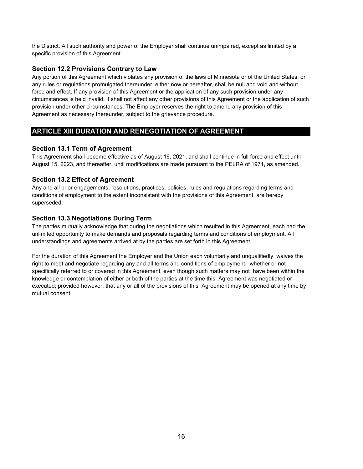<span id="page-15-0"></span>the District. All such authority and power of the Employer shall continue unimpaired, except as limited by a specific provision of this Agreement.

# **Section 12.2 Provisions Contrary to Law**

Any portion of this Agreement which violates any provision of the laws of Minnesota or of the United States, or any rules or regulations promulgated thereunder, either now or hereafter, shall be null and void and without force and effect. If any provision of this Agreement or the application of any such provision under any circumstances is held invalid, it shall not affect any other provisions of this Agreement or the application of such provision under other circumstances. The Employer reserves the right to amend any provision of this Agreement as necessary thereunder, subject to the grievance procedure.

# **ARTICLE XIII DURATION AND RENEGOTIATION OF AGREEMENT**

# **Section 13.1 Term of Agreement**

This Agreement shall become effective as of August 16, 2021, and shall continue in full force and effect until August 15, 2023, and thereafter, until modifications are made pursuant to the PELRA of 1971, as amended.

# **Section 13.2 Effect of Agreement**

Any and all prior engagements, resolutions, practices, policies, rules and regulations regarding terms and conditions of employment to the extent inconsistent with the provisions of this Agreement, are hereby superseded.

# **Section 13.3 Negotiations During Term**

The parties mutually acknowledge that during the negotiations which resulted in this Agreement, each had the unlimited opportunity to make demands and proposals regarding terms and conditions of employment. All understandings and agreements arrived at by the parties are set forth in this Agreement.

For the duration of this Agreement the Employer and the Union each voluntarily and unqualifiedly waives the right to meet and negotiate regarding any and all terms and conditions of employment, whether or not specifically referred to or covered in this Agreement, even though such matters may not have been within the knowledge or contemplation of either or both of the parties at the time this Agreement was negotiated or executed; provided however, that any or all of the provisions of this Agreement may be opened at any time by mutual consent.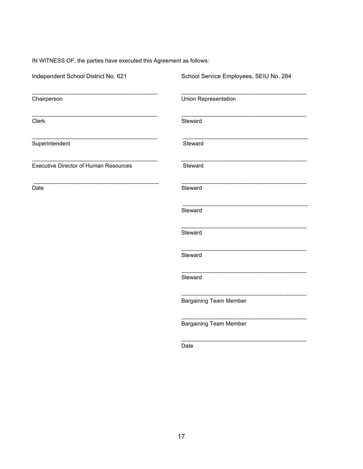IN WITNESS OF, the parties have executed this Agreement as follows:

| Independent School District No. 621          | School Service Employees, SEIU No. 284 |
|----------------------------------------------|----------------------------------------|
| Chairperson                                  | Union Representation                   |
| Clerk                                        | Steward                                |
| Superintendent                               | Steward                                |
| <b>Executive Director of Human Resources</b> | Steward                                |
| Date                                         | Steward                                |
|                                              | Steward                                |
|                                              | Steward                                |
|                                              | Steward                                |
|                                              | Steward                                |
|                                              | <b>Bargaining Team Member</b>          |
|                                              | <b>Bargaining Team Member</b>          |
|                                              | Date                                   |